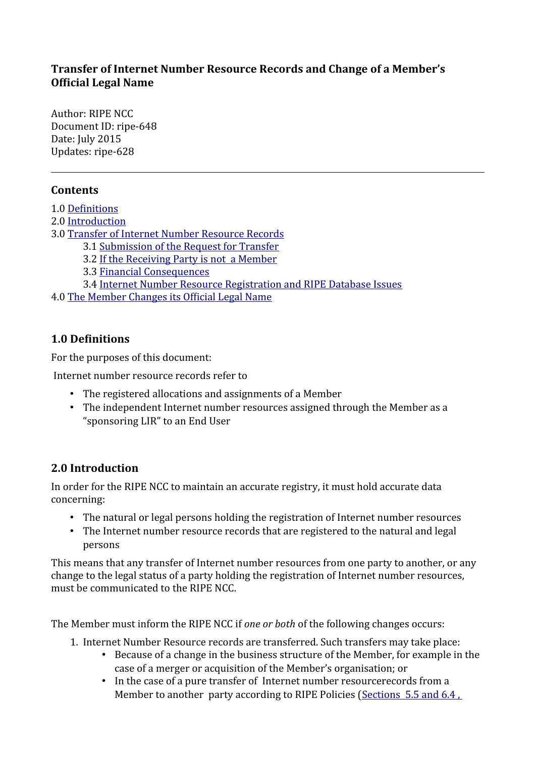### **Transfer of Internet Number Resource Records and Change of a Member's Official Legal Name**

Author: RIPE NCC Document ID: ripe-648 Date: July 2015 Updates: ripe-628

## **Contents**

- 1.0 [Definitions](#page-0-0)
- 2.0 [Introduction](#page-0-1)
- 3.0 [Transfer of Internet Number Resource Records](#page-1-1)
	- 3.1 [Submission of the Request for Transfer](#page-1-0)
	- 3.2 [If the Receiving Party is not a Member](#page-3-2)
	- 3.3 [Financial Consequences](#page-3-1)
	- 3.4 [Internet Number Resource Registration and RIPE Database Issues](#page-3-0)
- 4.0 [The Member Changes its Official Legal Name](#page-4-0)

## <span id="page-0-0"></span>**1.0 Definitions**

For the purposes of this document:

Internet number resource records refer to

- The registered allocations and assignments of a Member
- The independent Internet number resources assigned through the Member as a "sponsoring LIR" to an End User

## <span id="page-0-1"></span>**2.0 Introduction**

In order for the RIPE NCC to maintain an accurate registry, it must hold accurate data concerning:

- The natural or legal persons holding the registration of Internet number resources
- The Internet number resource records that are registered to the natural and legal persons

This means that any transfer of Internet number resources from one party to another, or any change to the legal status of a party holding the registration of Internet number resources, must be communicated to the RIPE NCC.

The Member must inform the RIPE NCC if *one or both* of the following changes occurs:

- 1. Internet Number Resource records are transferred. Such transfers may take place:
	- Because of a change in the business structure of the Member, for example in the case of a merger or acquisition of the Member's organisation; or
	- In the case of a pure transfer of Internet number resourcerecords from a Member to another party according to RIPE Policies [\(Sections 5.5 and 6.4 ,](https://www.ripe.net/ripe/docs/ipv4-policies#55)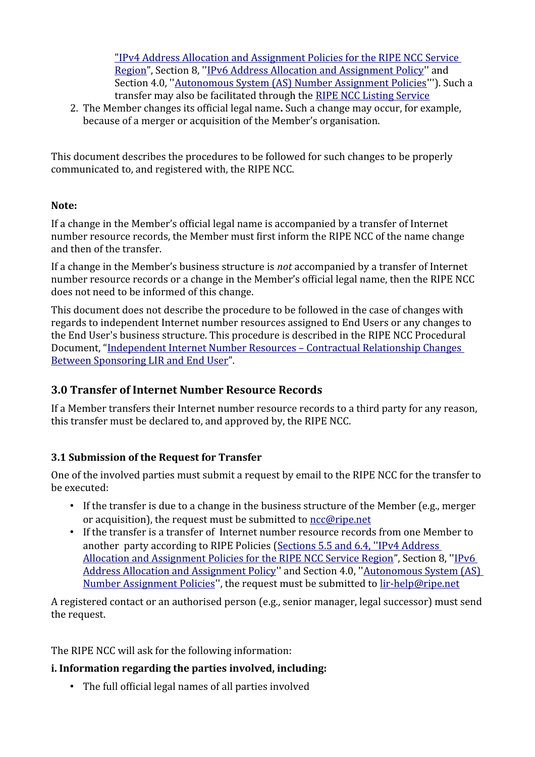"IPv4 Address Allocation and Assignment Policies for the RIPE NCC Service [Region"](https://www.ripe.net/ripe/docs/ipv4-policies#55), Section 8, ''[IPv6 Address Allocation and Assignment Policy](https://www.ripe.net/publications/docs/ipv6-policy#8--transfer-of-ipv6-resources)'' and Section 4.0, ''[Autonomous System \(AS\) Number Assignment Policies'](https://www.ripe.net/publications/docs/asn-assignment-policies#Transferring)''). Such a transfer may also be facilitated through the [RIPE NCC Listing Service](https://www.ripe.net/lir-services/resource-management/listing)

2. The Member changes its official legal name**.** Such a change may occur, for example, because of a merger or acquisition of the Member's organisation.

This document describes the procedures to be followed for such changes to be properly communicated to, and registered with, the RIPE NCC.

### **Note:**

If a change in the Member's official legal name is accompanied by a transfer of Internet number resource records, the Member must first inform the RIPE NCC of the name change and then of the transfer.

If a change in the Member's business structure is *not* accompanied by a transfer of Internet number resource records or a change in the Member's official legal name, then the RIPE NCC does not need to be informed of this change.

This document does not describe the procedure to be followed in the case of changes with regards to independent Internet number resources assigned to End Users or any changes to the End User's business structure. This procedure is described in the RIPE NCC Procedural Document, ["Independent Internet Number Resources – Contractual Relationship Changes](https://www.ripe.net/ripe/docs/lir-end-user-contractual-changes)  [Between Sponsoring LIR and End User"](https://www.ripe.net/ripe/docs/lir-end-user-contractual-changes).

## <span id="page-1-1"></span>**3.0 Transfer of Internet Number Resource Records**

If a Member transfers their Internet number resource records to a third party for any reason, this transfer must be declared to, and approved by, the RIPE NCC.

## <span id="page-1-0"></span>**3.1 Submission of the Request for Transfer**

One of the involved parties must submit a request by email to the RIPE NCC for the transfer to be executed:

- If the transfer is due to a change in the business structure of the Member (e.g., merger or acquisition), the request must be submitted to [ncc@ripe.net](mailto:ncc@ripe.net)
- If the transfer is a transfer of Internet number resource records from one Member to another party according to RIPE Policies [\( Sections 5.5 and 6.4, ' 'IPv4 Address](https://www.ripe.net/ripe/docs/ipv4-policies#55)  [Allocation and Assignment Policies for the RIPE NCC Service Region"](https://www.ripe.net/ripe/docs/ipv4-policies#55), Section 8, '['IPv6](https://www.ripe.net/publications/docs/ipv6-policy#8--transfer-of-ipv6-resources)  [Address Allocation and Assignment Policy](https://www.ripe.net/publications/docs/ipv6-policy#8--transfer-of-ipv6-resources)'' and Section 4.0, '['Autonomous System \(AS\)](https://www.ripe.net/publications/docs/asn-assignment-policies#Transferring)  [Number Assignment Policies](https://www.ripe.net/publications/docs/asn-assignment-policies#Transferring)'', the request must be submitted to [lir-help@ripe.net](mailto:lir-help@ripe.net)

A registered contact or an authorised person (e.g., senior manager, legal successor) must send the request.

The RIPE NCC will ask for the following information:

## **i. Information regarding the parties involved, including:**

• The full official legal names of all parties involved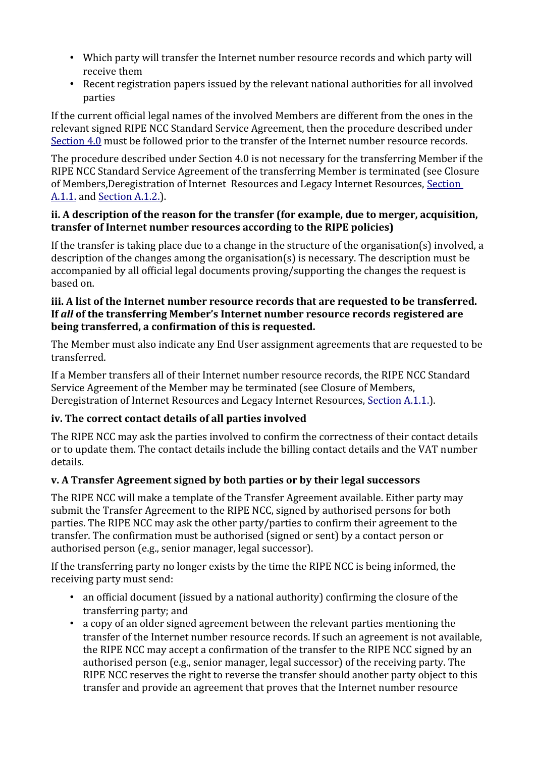- Which party will transfer the Internet number resource records and which party will receive them
- Recent registration papers issued by the relevant national authorities for all involved parties

If the current official legal names of the involved Members are different from the ones in the relevant signed RIPE NCC Standard Service Agreement, then the procedure described under  [Section 4.0](#page-4-0) must be followed prior to the transfer of the Internet number resource records.

The procedure described under Section 4.0 is not necessary for the transferring Member if the RIPE NCC Standard Service Agreement of the transferring Member is terminated (see Closure of Members,Deregistration of Internet Resources and Legacy Internet Resources, [Section](https://www.ripe.net/ripe/docs/closure#11)  A.1.1. and Section A.1.2.).

#### **ii. A description of the reason for the transfer (for example, due to merger, acquisition, transfer of Internet number resources according to the RIPE policies)**

If the transfer is taking place due to a change in the structure of the organisation(s) involved, a description of the changes among the organisation(s) is necessary. The description must be accompanied by all official legal documents proving/supporting the changes the request is based on.

### **iii. A list of the Internet number resource records that are requested to be transferred. If** *all* **of the transferring Member's Internet number resource records registered are being transferred, a confirmation of this is requested.**

The Member must also indicate any End User assignment agreements that are requested to be transferred.

If a Member transfers all of their Internet number resource records, the RIPE NCC Standard Service Agreement of the Member may be terminated (see Closure of Members, Deregistration of Internet Resources and Legacy Internet Resources, Section A.1.1.

## **iv. The correct contact details of all parties involved**

The RIPE NCC may ask the parties involved to confirm the correctness of their contact details or to update them. The contact details include the billing contact details and the VAT number details.

### **v. A Transfer Agreement signed by both parties or by their legal successors**

The RIPE NCC will make a template of the Transfer Agreement available. Either party may submit the Transfer Agreement to the RIPE NCC, signed by authorised persons for both parties. The RIPE NCC may ask the other party/parties to confirm their agreement to the transfer. The confirmation must be authorised (signed or sent) by a contact person or authorised person (e.g., senior manager, legal successor).

If the transferring party no longer exists by the time the RIPE NCC is being informed, the receiving party must send:

- an official document (issued by a national authority) confirming the closure of the transferring party; and
- a copy of an older signed agreement between the relevant parties mentioning the transfer of the Internet number resource records. If such an agreement is not available, the RIPE NCC may accept a confirmation of the transfer to the RIPE NCC signed by an authorised person (e.g., senior manager, legal successor) of the receiving party. The RIPE NCC reserves the right to reverse the transfer should another party object to this transfer and provide an agreement that proves that the Internet number resource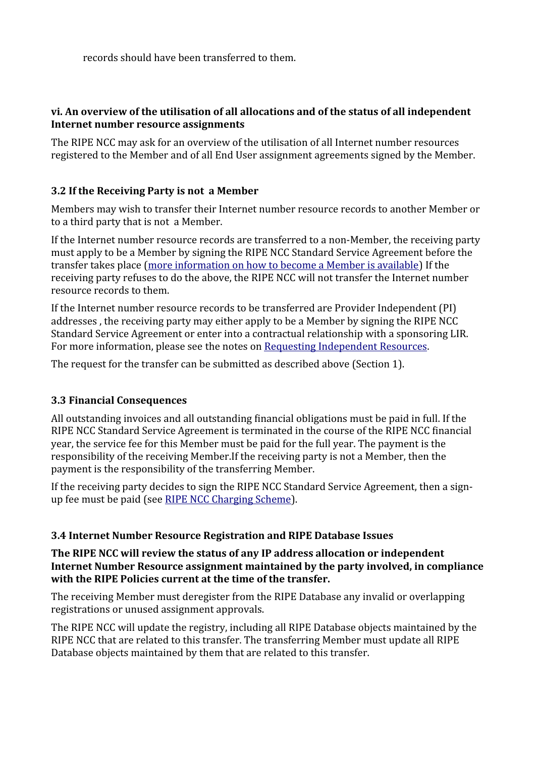records should have been transferred to them.

#### **vi. An overview of the utilisation of all allocations and of the status of all independent Internet number resource assignments**

The RIPE NCC may ask for an overview of the utilisation of all Internet number resources registered to the Member and of all End User assignment agreements signed by the Member.

### <span id="page-3-2"></span>**3.2 If the Receiving Party is not a Member**

Members may wish to transfer their Internet number resource records to another Member or to a third party that is not a Member.

If the Internet number resource records are transferred to a non-Member, the receiving party must apply to be a Member by signing the RIPE NCC Standard Service Agreement before the transfer takes place [\(more information on how to become a Member is available\)](https://www.ripe.net/lir-services/member-support/become-a-member) If the receiving party refuses to do the above, the RIPE NCC will not transfer the Internet number resource records to them.

If the Internet number resource records to be transferred are Provider Independent (PI) addresses , the receiving party may either apply to be a Member by signing the RIPE NCC Standard Service Agreement or enter into a contractual relationship with a sponsoring LIR. For more information, please see the notes on Requesting Independent Resources.

The request for the transfer can be submitted as described above (Section 1).

### <span id="page-3-1"></span>**3.3 Financial Consequences**

All outstanding invoices and all outstanding financial obligations must be paid in full. If the RIPE NCC Standard Service Agreement is terminated in the course of the RIPE NCC financial year, the service fee for this Member must be paid for the full year. The payment is the responsibility of the receiving Member.If the receiving party is not a Member, then the payment is the responsibility of the transferring Member.

If the receiving party decides to sign the RIPE NCC Standard Service Agreement, then a signup fee must be paid (see [RIPE NCC Charging Scheme\)](http://www.ripe.net/ripe/docs/charging).

#### <span id="page-3-0"></span>**3.4 Internet Number Resource Registration and RIPE Database Issues**

#### **The RIPE NCC will review the status of any IP address allocation or independent Internet Number Resource assignment maintained by the party involved, in compliance with the RIPE Policies current at the time of the transfer.**

The receiving Member must deregister from the RIPE Database any invalid or overlapping registrations or unused assignment approvals.

The RIPE NCC will update the registry, including all RIPE Database objects maintained by the RIPE NCC that are related to this transfer. The transferring Member must update all RIPE Database objects maintained by them that are related to this transfer.